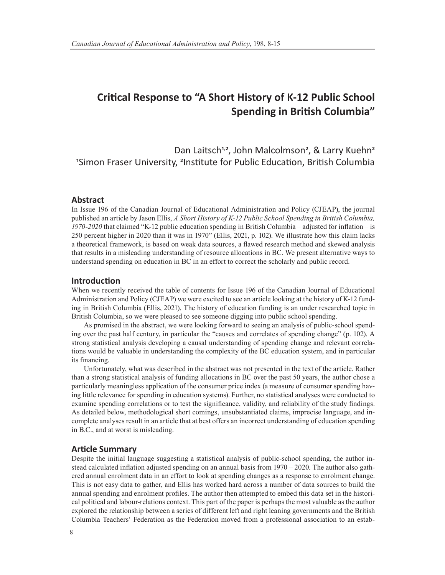# **Critical Response to "A Short History of K-12 Public School Spending in British Columbia"**

Dan Laitsch<sup>1,2</sup>, John Malcolmson<sup>2</sup>, & Larry Kuehn<sup>2</sup> 1Simon Fraser University, 2Institute for Public Education, British Columbia

# **Abstract**

In Issue 196 of the Canadian Journal of Educational Administration and Policy (CJEAP), the journal published an article by Jason Ellis, *A Short History of K-12 Public School Spending in British Columbia, 1970-2020* that claimed "K-12 public education spending in British Columbia – adjusted for inflation – is 250 percent higher in 2020 than it was in 1970" (Ellis, 2021, p. 102). We illustrate how this claim lacks a theoretical framework, is based on weak data sources, a flawed research method and skewed analysis that results in a misleading understanding of resource allocations in BC. We present alternative ways to understand spending on education in BC in an effort to correct the scholarly and public record.

### **Introduction**

When we recently received the table of contents for Issue 196 of the Canadian Journal of Educational Administration and Policy (CJEAP) we were excited to see an article looking at the history of K-12 funding in British Columbia (Ellis, 2021). The history of education funding is an under researched topic in British Columbia, so we were pleased to see someone digging into public school spending.

As promised in the abstract, we were looking forward to seeing an analysis of public-school spending over the past half century, in particular the "causes and correlates of spending change" (p. 102). A strong statistical analysis developing a causal understanding of spending change and relevant correlations would be valuable in understanding the complexity of the BC education system, and in particular its financing.

Unfortunately, what was described in the abstract was not presented in the text of the article. Rather than a strong statistical analysis of funding allocations in BC over the past 50 years, the author chose a particularly meaningless application of the consumer price index (a measure of consumer spending having little relevance for spending in education systems). Further, no statistical analyses were conducted to examine spending correlations or to test the significance, validity, and reliability of the study findings. As detailed below, methodological short comings, unsubstantiated claims, imprecise language, and incomplete analyses result in an article that at best offers an incorrect understanding of education spending in B.C., and at worst is misleading.

## **Article Summary**

Despite the initial language suggesting a statistical analysis of public-school spending, the author instead calculated inflation adjusted spending on an annual basis from 1970 – 2020. The author also gathered annual enrolment data in an effort to look at spending changes as a response to enrolment change. This is not easy data to gather, and Ellis has worked hard across a number of data sources to build the annual spending and enrolment profiles. The author then attempted to embed this data set in the historical political and labour-relations context. This part of the paper is perhaps the most valuable as the author explored the relationship between a series of different left and right leaning governments and the British Columbia Teachers' Federation as the Federation moved from a professional association to an estab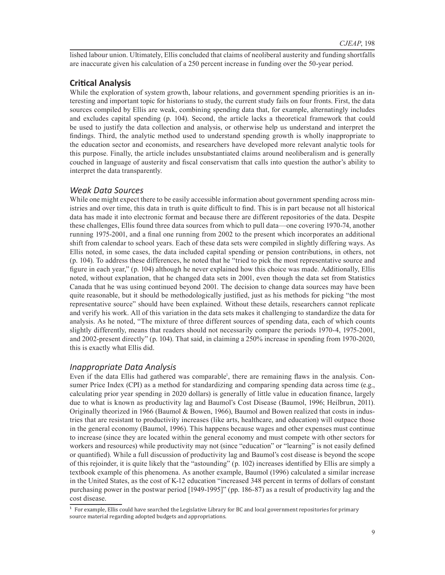lished labour union. Ultimately, Ellis concluded that claims of neoliberal austerity and funding shortfalls are inaccurate given his calculation of a 250 percent increase in funding over the 50-year period.

# **Critical Analysis**

While the exploration of system growth, labour relations, and government spending priorities is an interesting and important topic for historians to study, the current study fails on four fronts. First, the data sources compiled by Ellis are weak, combining spending data that, for example, alternatingly includes and excludes capital spending (p. 104). Second, the article lacks a theoretical framework that could be used to justify the data collection and analysis, or otherwise help us understand and interpret the findings. Third, the analytic method used to understand spending growth is wholly inappropriate to the education sector and economists, and researchers have developed more relevant analytic tools for this purpose. Finally, the article includes unsubstantiated claims around neoliberalism and is generally couched in language of austerity and fiscal conservatism that calls into question the author's ability to interpret the data transparently.

# *Weak Data Sources*

While one might expect there to be easily accessible information about government spending across ministries and over time, this data in truth is quite difficult to find. This is in part because not all historical data has made it into electronic format and because there are different repositories of the data. Despite these challenges, Ellis found three data sources from which to pull data—one covering 1970-74, another running 1975-2001, and a final one running from 2002 to the present which incorporates an additional shift from calendar to school years. Each of these data sets were compiled in slightly differing ways. As Ellis noted, in some cases, the data included capital spending or pension contributions, in others, not (p. 104). To address these differences, he noted that he "tried to pick the most representative source and figure in each year," (p. 104) although he never explained how this choice was made. Additionally, Ellis noted, without explanation, that he changed data sets in 2001, even though the data set from Statistics Canada that he was using continued beyond 2001. The decision to change data sources may have been quite reasonable, but it should be methodologically justified, just as his methods for picking "the most representative source" should have been explained. Without these details, researchers cannot replicate and verify his work. All of this variation in the data sets makes it challenging to standardize the data for analysis. As he noted, "The mixture of three different sources of spending data, each of which counts slightly differently, means that readers should not necessarily compare the periods 1970-4, 1975-2001, and 2002-present directly" (p. 104). That said, in claiming a 250% increase in spending from 1970-2020, this is exactly what Ellis did.

# *Inappropriate Data Analysis*

Even if the data Ellis had gathered was comparable<sup>1</sup>, there are remaining flaws in the analysis. Consumer Price Index (CPI) as a method for standardizing and comparing spending data across time (e.g., calculating prior year spending in 2020 dollars) is generally of little value in education finance, largely due to what is known as productivity lag and Baumol's Cost Disease (Baumol, 1996; Heilbrun, 2011). Originally theorized in 1966 (Baumol & Bowen, 1966), Baumol and Bowen realized that costs in industries that are resistant to productivity increases (like arts, healthcare, and education) will outpace those in the general economy (Baumol, 1996). This happens because wages and other expenses must continue to increase (since they are located within the general economy and must compete with other sectors for workers and resources) while productivity may not (since "education" or "learning" is not easily defined or quantified). While a full discussion of productivity lag and Baumol's cost disease is beyond the scope of this rejoinder, it is quite likely that the "astounding" (p. 102) increases identified by Ellis are simply a textbook example of this phenomena. As another example, Baumol (1996) calculated a similar increase in the United States, as the cost of K-12 education "increased 348 percent in terms of dollars of constant purchasing power in the postwar period [1949-1995]" (pp. 186-87) as a result of productivity lag and the cost disease.

 $^{\rm 1}$  For example, Ellis could have searched the Legislative Library for BC and local government repositories for primary source material regarding adopted budgets and appropriations.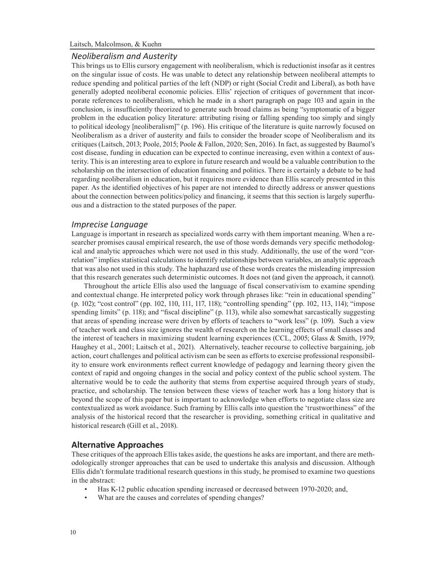#### *Neoliberalism and Austerity*

This brings us to Ellis cursory engagement with neoliberalism, which is reductionist insofar as it centres on the singular issue of costs. He was unable to detect any relationship between neoliberal attempts to reduce spending and political parties of the left (NDP) or right (Social Credit and Liberal), as both have generally adopted neoliberal economic policies. Ellis' rejection of critiques of government that incorporate references to neoliberalism, which he made in a short paragraph on page 103 and again in the conclusion, is insufficiently theorized to generate such broad claims as being "symptomatic of a bigger problem in the education policy literature: attributing rising or falling spending too simply and singly to political ideology [neoliberalism]" (p. 196). His critique of the literature is quite narrowly focused on Neoliberalism as a driver of austerity and fails to consider the broader scope of Neoliberalism and its critiques (Laitsch, 2013; Poole, 2015; Poole & Fallon, 2020; Sen, 2016). In fact, as suggested by Baumol's cost disease, funding in education can be expected to continue increasing, even within a context of austerity. This is an interesting area to explore in future research and would be a valuable contribution to the scholarship on the intersection of education financing and politics. There is certainly a debate to be had regarding neoliberalism in education, but it requires more evidence than Ellis scarcely presented in this paper. As the identified objectives of his paper are not intended to directly address or answer questions about the connection between politics/policy and financing, it seems that this section is largely superfluous and a distraction to the stated purposes of the paper.

### *Imprecise Language*

Language is important in research as specialized words carry with them important meaning. When a researcher promises causal empirical research, the use of those words demands very specific methodological and analytic approaches which were not used in this study. Additionally, the use of the word "correlation" implies statistical calculations to identify relationships between variables, an analytic approach that was also not used in this study. The haphazard use of these words creates the misleading impression that this research generates such deterministic outcomes. It does not (and given the approach, it cannot).

Throughout the article Ellis also used the language of fiscal conservativism to examine spending and contextual change. He interpreted policy work through phrases like: "rein in educational spending" (p. 102); "cost control" (pp. 102, 110, 111, 117, 118); "controlling spending" (pp. 102, 113, 114); "impose spending limits" (p. 118); and "fiscal discipline" (p. 113), while also somewhat sarcastically suggesting that areas of spending increase were driven by efforts of teachers to "work less" (p. 109). Such a view of teacher work and class size ignores the wealth of research on the learning effects of small classes and the interest of teachers in maximizing student learning experiences (CCL, 2005; Glass & Smith, 1979; Haughey et al., 2001; Laitsch et al., 2021). Alternatively, teacher recourse to collective bargaining, job action, court challenges and political activism can be seen as efforts to exercise professional responsibility to ensure work environments reflect current knowledge of pedagogy and learning theory given the context of rapid and ongoing changes in the social and policy context of the public school system. The alternative would be to cede the authority that stems from expertise acquired through years of study, practice, and scholarship. The tension between these views of teacher work has a long history that is beyond the scope of this paper but is important to acknowledge when efforts to negotiate class size are contextualized as work avoidance. Such framing by Ellis calls into question the 'trustworthiness" of the analysis of the historical record that the researcher is providing, something critical in qualitative and historical research (Gill et al., 2018).

#### **Alternative Approaches**

These critiques of the approach Ellis takes aside, the questions he asks are important, and there are methodologically stronger approaches that can be used to undertake this analysis and discussion. Although Ellis didn't formulate traditional research questions in this study, he promised to examine two questions in the abstract:

- Has K-12 public education spending increased or decreased between 1970-2020; and,
- What are the causes and correlates of spending changes?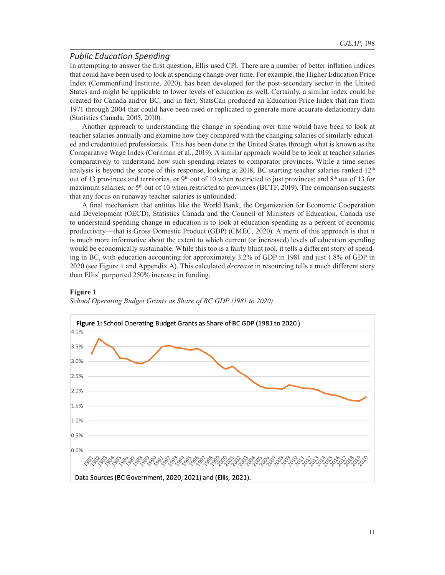# *Public Education Spending*

In attempting to answer the first question, Ellis used CPI. There are a number of better inflation indices that could have been used to look at spending change over time. For example, the Higher Education Price Index (Commonfund Institute, 2020), has been developed for the post-secondary sector in the United States and might be applicable to lower levels of education as well. Certainly, a similar index could be created for Canada and/or BC, and in fact, StatsCan produced an Education Price Index that ran from 1971 through 2004 that could have been used or replicated to generate more accurate deflationary data (Statistics Canada, 2005, 2010).

Another approach to understanding the change in spending over time would have been to look at teacher salaries annually and examine how they compared with the changing salaries of similarly educated and credentialed professionals. This has been done in the United States through what is known as the Comparative Wage Index (Cornman et al., 2019). A similar approach would be to look at teacher salaries comparatively to understand how such spending relates to comparator provinces. While a time series analysis is beyond the scope of this response, looking at 2018, BC starting teacher salaries ranked  $12<sup>th</sup>$ out of 13 provinces and territories, or 9<sup>th</sup> out of 10 when restricted to just provinces; and 8<sup>th</sup> out of 13 for maximum salaries, or 5<sup>th</sup> out of 10 when restricted to provinces (BCTF, 2019). The comparison suggests that any focus on runaway teacher salaries is unfounded.

A final mechanism that entities like the World Bank, the Organization for Economic Cooperation and Development (OECD), Statistics Canada and the Council of Ministers of Education, Canada use to understand spending change in education is to look at education spending as a percent of economic productivity—that is Gross Domestic Product (GDP) (CMEC, 2020). A merit of this approach is that it is much more informative about the extent to which current (or increased) levels of education spending would be economically sustainable. While this too is a fairly blunt tool, it tells a different story of spending in BC, with education accounting for approximately 3.2% of GDP in 1981 and just 1.8% of GDP in 2020 (see Figure 1 and Appendix A). This calculated *decrease* in resourcing tells a much different story than Ellis' purported 250% increase in funding.



#### **Figure 1**

*School Operating Budget Grants as Share of BC GDP (1981 to 2020)*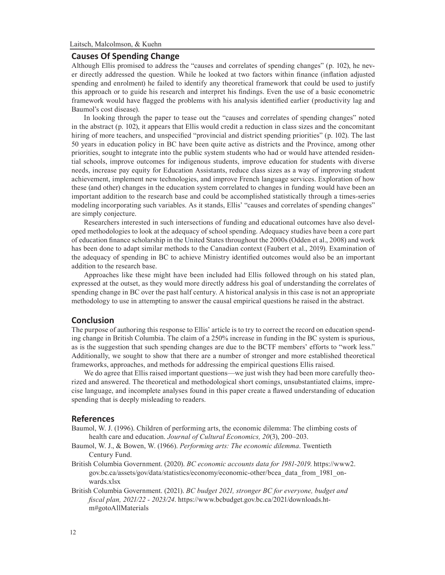#### **Causes Of Spending Change**

Although Ellis promised to address the "causes and correlates of spending changes" (p. 102), he never directly addressed the question. While he looked at two factors within finance (inflation adjusted spending and enrolment) he failed to identify any theoretical framework that could be used to justify this approach or to guide his research and interpret his findings. Even the use of a basic econometric framework would have flagged the problems with his analysis identified earlier (productivity lag and Baumol's cost disease).

In looking through the paper to tease out the "causes and correlates of spending changes" noted in the abstract (p. 102), it appears that Ellis would credit a reduction in class sizes and the concomitant hiring of more teachers, and unspecified "provincial and district spending priorities" (p. 102). The last 50 years in education policy in BC have been quite active as districts and the Province, among other priorities, sought to integrate into the public system students who had or would have attended residential schools, improve outcomes for indigenous students, improve education for students with diverse needs, increase pay equity for Education Assistants, reduce class sizes as a way of improving student achievement, implement new technologies, and improve French language services. Exploration of how these (and other) changes in the education system correlated to changes in funding would have been an important addition to the research base and could be accomplished statistically through a times-series modeling incorporating such variables. As it stands, Ellis' "causes and correlates of spending changes" are simply conjecture.

Researchers interested in such intersections of funding and educational outcomes have also developed methodologies to look at the adequacy of school spending. Adequacy studies have been a core part of education finance scholarship in the United States throughout the 2000s (Odden et al., 2008) and work has been done to adapt similar methods to the Canadian context (Faubert et al., 2019). Examination of the adequacy of spending in BC to achieve Ministry identified outcomes would also be an important addition to the research base.

Approaches like these might have been included had Ellis followed through on his stated plan, expressed at the outset, as they would more directly address his goal of understanding the correlates of spending change in BC over the past half century. A historical analysis in this case is not an appropriate methodology to use in attempting to answer the causal empirical questions he raised in the abstract.

#### **Conclusion**

The purpose of authoring this response to Ellis' article is to try to correct the record on education spending change in British Columbia. The claim of a 250% increase in funding in the BC system is spurious, as is the suggestion that such spending changes are due to the BCTF members' efforts to "work less." Additionally, we sought to show that there are a number of stronger and more established theoretical frameworks, approaches, and methods for addressing the empirical questions Ellis raised.

We do agree that Ellis raised important questions—we just wish they had been more carefully theorized and answered. The theoretical and methodological short comings, unsubstantiated claims, imprecise language, and incomplete analyses found in this paper create a flawed understanding of education spending that is deeply misleading to readers.

#### **References**

- Baumol, W. J. (1996). Children of performing arts, the economic dilemma: The climbing costs of health care and education. *Journal of Cultural Economics, 20*(3), 200–203.
- Baumol, W. J., & Bowen, W. (1966). *Performing arts: The economic dilemma*. Twentieth Century Fund.
- British Columbia Government. (2020). *BC economic accounts data for 1981-2019*. https://www2. gov.bc.ca/assets/gov/data/statistics/economy/economic-other/bcea\_data\_from\_1981\_onwards.xlsx
- British Columbia Government. (2021). *BC budget 2021, stronger BC for everyone, budget and fiscal plan, 2021/22 - 2023/24*. https://www.bcbudget.gov.bc.ca/2021/downloads.htm#gotoAllMaterials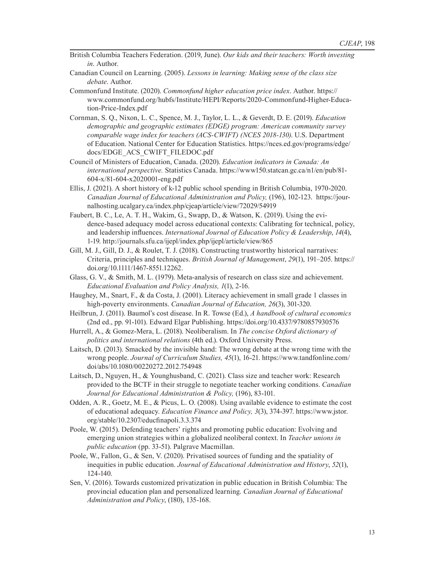- British Columbia Teachers Federation. (2019, June). *Our kids and their teachers: Worth investing in*. Author.
- Canadian Council on Learning. (2005). *Lessons in learning: Making sense of the class size debate*. Author.
- Commonfund Institute. (2020). *Commonfund higher education price index*. Author. https:// www.commonfund.org/hubfs/Institute/HEPI/Reports/2020-Commonfund-Higher-Education-Price-Index.pdf
- Cornman, S. Q., Nixon, L. C., Spence, M. J., Taylor, L. L., & Geverdt, D. E. (2019). *Education demographic and geographic estimates (EDGE) program: American community survey comparable wage index for teachers (ACS-CWIFT) (NCES 2018-130)*. U.S. Department of Education. National Center for Education Statistics. https://nces.ed.gov/programs/edge/ docs/EDGE\_ACS\_CWIFT\_FILEDOC.pdf
- Council of Ministers of Education, Canada. (2020). *Education indicators in Canada: An international perspective.* Statistics Canada. https://www150.statcan.gc.ca/n1/en/pub/81- 604-x/81-604-x2020001-eng.pdf
- Ellis, J. (2021). A short history of k-12 public school spending in British Columbia, 1970-2020. *Canadian Journal of Educational Administration and Policy,* (196), 102-123. https://journalhosting.ucalgary.ca/index.php/cjeap/article/view/72029/54919
- Faubert, B. C., Le, A. T. H., Wakim, G., Swapp, D., & Watson, K. (2019). Using the evidence-based adequacy model across educational contexts: Calibrating for technical, policy, and leadership influences. *International Journal of Education Policy & Leadership*, *14*(4), 1-19. http://journals.sfu.ca/ijepl/index.php/ijepl/article/view/865
- Gill, M. J., Gill, D. J., & Roulet, T. J. (2018). Constructing trustworthy historical narratives: Criteria, principles and techniques. *British Journal of Management*, *29*(1), 191–205. https:// doi.org/10.1111/1467-8551.12262.
- Glass, G. V., & Smith, M. L. (1979). Meta-analysis of research on class size and achievement. *Educational Evaluation and Policy Analysis, 1*(1), 2-16.
- Haughey, M., Snart, F., & da Costa, J. (2001). Literacy achievement in small grade 1 classes in high-poverty environments. *Canadian Journal of Education, 26*(3), 301-320.
- Heilbrun, J. (2011). Baumol's cost disease. In R. Towse (Ed.), *A handbook of cultural economics* (2nd ed., pp. 91-101). Edward Elgar Publishing. https://doi.org/10.4337/9780857930576
- Hurrell, A., & Gomez-Mera, L. (2018). Neoliberalism. In *The concise Oxford dictionary of politics and international relations* (4th ed.). Oxford University Press.
- Laitsch, D. (2013). Smacked by the invisible hand: The wrong debate at the wrong time with the wrong people. *Journal of Curriculum Studies, 45*(1), 16-21. https://www.tandfonline.com/ doi/abs/10.1080/00220272.2012.754948
- Laitsch, D., Nguyen, H., & Younghusband, C. (2021). Class size and teacher work: Research provided to the BCTF in their struggle to negotiate teacher working conditions. *Canadian Journal for Educational Administration & Policy,* (196), 83-101.
- Odden, A. R., Goetz, M. E., & Picus, L. O. (2008). Using available evidence to estimate the cost of educational adequacy. *Education Finance and Policy, 3*(3), 374-397. https://www.jstor. org/stable/10.2307/educfinapoli.3.3.374
- Poole, W. (2015). Defending teachers' rights and promoting public education: Evolving and emerging union strategies within a globalized neoliberal context. In *Teacher unions in public education* (pp. 33-51). Palgrave Macmillan.
- Poole, W., Fallon, G., & Sen, V. (2020). Privatised sources of funding and the spatiality of inequities in public education. *Journal of Educational Administration and History*, *52*(1), 124-140.
- Sen, V. (2016). Towards customized privatization in public education in British Columbia: The provincial education plan and personalized learning. *Canadian Journal of Educational Administration and Policy*, (180), 135-168.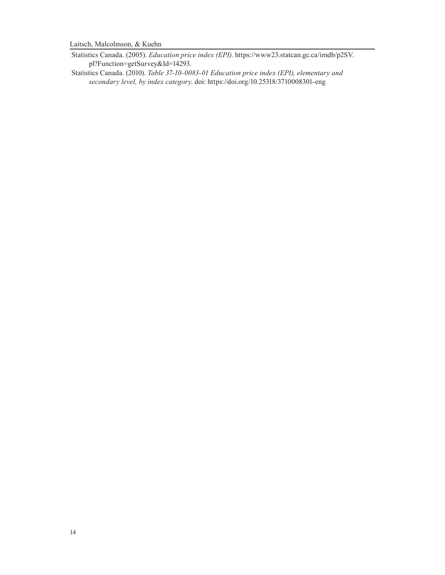Laitsch, Malcolmson, & Kuehn

Statistics Canada. (2005). *Education price index (EPI)*. https://www23.statcan.gc.ca/imdb/p2SV. pl?Function=getSurvey&Id=14293.

Statistics Canada. (2010). *Table 37-10-0083-01 Education price index (EPI), elementary and secondary level, by index category*. doi: https://doi.org/10.25318/3710008301-eng